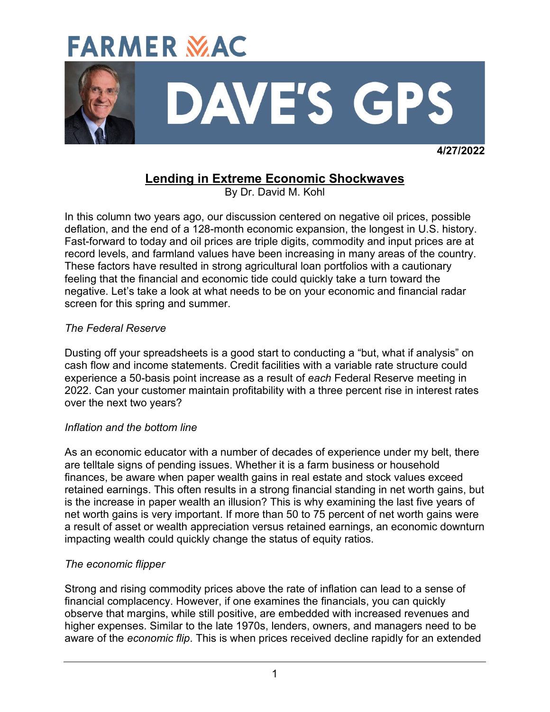

 **4/27/2022**

# **Lending in Extreme Economic Shockwaves**

By Dr. David M. Kohl

In this column two years ago, our discussion centered on negative oil prices, possible deflation, and the end of a 128-month economic expansion, the longest in U.S. history. Fast-forward to today and oil prices are triple digits, commodity and input prices are at record levels, and farmland values have been increasing in many areas of the country. These factors have resulted in strong agricultural loan portfolios with a cautionary feeling that the financial and economic tide could quickly take a turn toward the negative. Let's take a look at what needs to be on your economic and financial radar screen for this spring and summer.

# *The Federal Reserve*

Dusting off your spreadsheets is a good start to conducting a "but, what if analysis" on cash flow and income statements. Credit facilities with a variable rate structure could experience a 50-basis point increase as a result of *each* Federal Reserve meeting in 2022. Can your customer maintain profitability with a three percent rise in interest rates over the next two years?

## *Inflation and the bottom line*

As an economic educator with a number of decades of experience under my belt, there are telltale signs of pending issues. Whether it is a farm business or household finances, be aware when paper wealth gains in real estate and stock values exceed retained earnings. This often results in a strong financial standing in net worth gains, but is the increase in paper wealth an illusion? This is why examining the last five years of net worth gains is very important. If more than 50 to 75 percent of net worth gains were a result of asset or wealth appreciation versus retained earnings, an economic downturn impacting wealth could quickly change the status of equity ratios.

# *The economic flipper*

Strong and rising commodity prices above the rate of inflation can lead to a sense of financial complacency. However, if one examines the financials, you can quickly observe that margins, while still positive, are embedded with increased revenues and higher expenses. Similar to the late 1970s, lenders, owners, and managers need to be aware of the *economic flip*. This is when prices received decline rapidly for an extended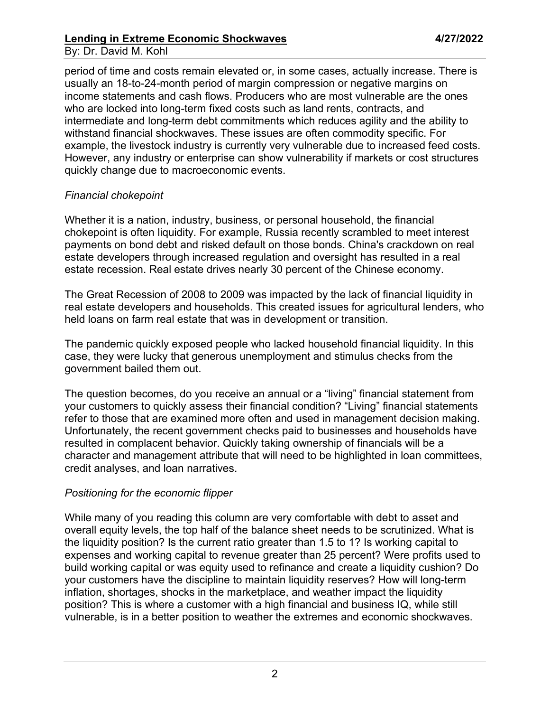### **Lending in Extreme Economic Shockwaves 4/27/2022** By: Dr. David M. Kohl

period of time and costs remain elevated or, in some cases, actually increase. There is usually an 18-to-24-month period of margin compression or negative margins on income statements and cash flows. Producers who are most vulnerable are the ones who are locked into long-term fixed costs such as land rents, contracts, and intermediate and long-term debt commitments which reduces agility and the ability to withstand financial shockwaves. These issues are often commodity specific. For example, the livestock industry is currently very vulnerable due to increased feed costs. However, any industry or enterprise can show vulnerability if markets or cost structures quickly change due to macroeconomic events.

## *Financial chokepoint*

Whether it is a nation, industry, business, or personal household, the financial chokepoint is often liquidity. For example, Russia recently scrambled to meet interest payments on bond debt and risked default on those bonds. China's crackdown on real estate developers through increased regulation and oversight has resulted in a real estate recession. Real estate drives nearly 30 percent of the Chinese economy.

The Great Recession of 2008 to 2009 was impacted by the lack of financial liquidity in real estate developers and households. This created issues for agricultural lenders, who held loans on farm real estate that was in development or transition.

The pandemic quickly exposed people who lacked household financial liquidity. In this case, they were lucky that generous unemployment and stimulus checks from the government bailed them out.

The question becomes, do you receive an annual or a "living" financial statement from your customers to quickly assess their financial condition? "Living" financial statements refer to those that are examined more often and used in management decision making. Unfortunately, the recent government checks paid to businesses and households have resulted in complacent behavior. Quickly taking ownership of financials will be a character and management attribute that will need to be highlighted in loan committees, credit analyses, and loan narratives.

## *Positioning for the economic flipper*

While many of you reading this column are very comfortable with debt to asset and overall equity levels, the top half of the balance sheet needs to be scrutinized. What is the liquidity position? Is the current ratio greater than 1.5 to 1? Is working capital to expenses and working capital to revenue greater than 25 percent? Were profits used to build working capital or was equity used to refinance and create a liquidity cushion? Do your customers have the discipline to maintain liquidity reserves? How will long-term inflation, shortages, shocks in the marketplace, and weather impact the liquidity position? This is where a customer with a high financial and business IQ, while still vulnerable, is in a better position to weather the extremes and economic shockwaves.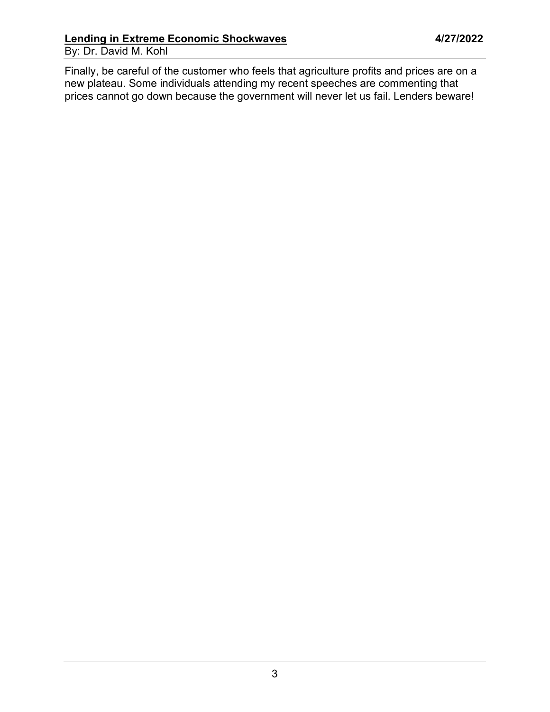Finally, be careful of the customer who feels that agriculture profits and prices are on a new plateau. Some individuals attending my recent speeches are commenting that prices cannot go down because the government will never let us fail. Lenders beware!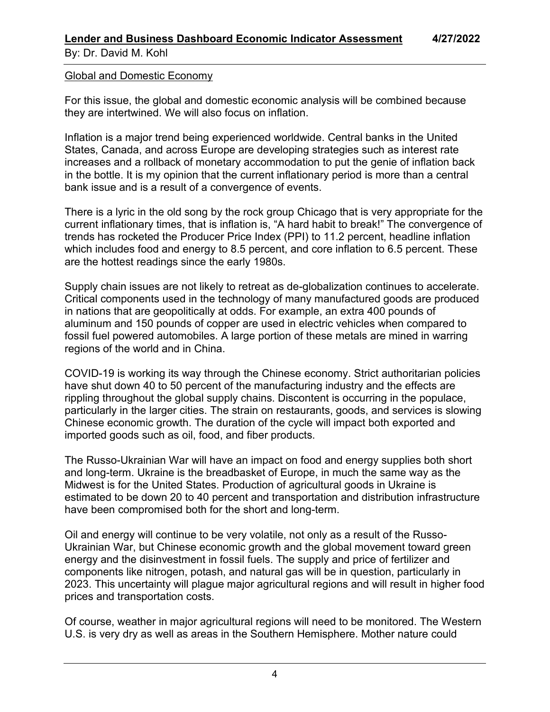#### Global and Domestic Economy

For this issue, the global and domestic economic analysis will be combined because they are intertwined. We will also focus on inflation.

Inflation is a major trend being experienced worldwide. Central banks in the United States, Canada, and across Europe are developing strategies such as interest rate increases and a rollback of monetary accommodation to put the genie of inflation back in the bottle. It is my opinion that the current inflationary period is more than a central bank issue and is a result of a convergence of events.

There is a lyric in the old song by the rock group Chicago that is very appropriate for the current inflationary times, that is inflation is, "A hard habit to break!" The convergence of trends has rocketed the Producer Price Index (PPI) to 11.2 percent, headline inflation which includes food and energy to 8.5 percent, and core inflation to 6.5 percent. These are the hottest readings since the early 1980s.

Supply chain issues are not likely to retreat as de-globalization continues to accelerate. Critical components used in the technology of many manufactured goods are produced in nations that are geopolitically at odds. For example, an extra 400 pounds of aluminum and 150 pounds of copper are used in electric vehicles when compared to fossil fuel powered automobiles. A large portion of these metals are mined in warring regions of the world and in China.

COVID-19 is working its way through the Chinese economy. Strict authoritarian policies have shut down 40 to 50 percent of the manufacturing industry and the effects are rippling throughout the global supply chains. Discontent is occurring in the populace, particularly in the larger cities. The strain on restaurants, goods, and services is slowing Chinese economic growth. The duration of the cycle will impact both exported and imported goods such as oil, food, and fiber products.

The Russo-Ukrainian War will have an impact on food and energy supplies both short and long-term. Ukraine is the breadbasket of Europe, in much the same way as the Midwest is for the United States. Production of agricultural goods in Ukraine is estimated to be down 20 to 40 percent and transportation and distribution infrastructure have been compromised both for the short and long-term.

Oil and energy will continue to be very volatile, not only as a result of the Russo-Ukrainian War, but Chinese economic growth and the global movement toward green energy and the disinvestment in fossil fuels. The supply and price of fertilizer and components like nitrogen, potash, and natural gas will be in question, particularly in 2023. This uncertainty will plague major agricultural regions and will result in higher food prices and transportation costs.

Of course, weather in major agricultural regions will need to be monitored. The Western U.S. is very dry as well as areas in the Southern Hemisphere. Mother nature could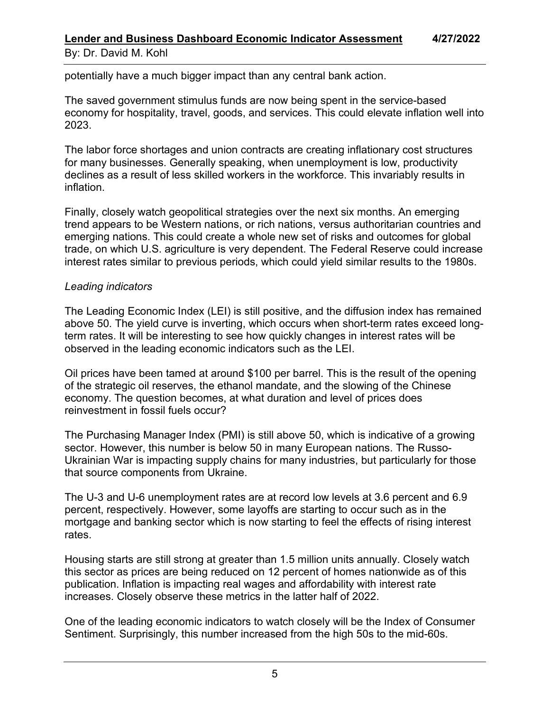potentially have a much bigger impact than any central bank action.

The saved government stimulus funds are now being spent in the service-based economy for hospitality, travel, goods, and services. This could elevate inflation well into 2023.

The labor force shortages and union contracts are creating inflationary cost structures for many businesses. Generally speaking, when unemployment is low, productivity declines as a result of less skilled workers in the workforce. This invariably results in inflation.

Finally, closely watch geopolitical strategies over the next six months. An emerging trend appears to be Western nations, or rich nations, versus authoritarian countries and emerging nations. This could create a whole new set of risks and outcomes for global trade, on which U.S. agriculture is very dependent. The Federal Reserve could increase interest rates similar to previous periods, which could yield similar results to the 1980s.

# *Leading indicators*

The Leading Economic Index (LEI) is still positive, and the diffusion index has remained above 50. The yield curve is inverting, which occurs when short-term rates exceed longterm rates. It will be interesting to see how quickly changes in interest rates will be observed in the leading economic indicators such as the LEI.

Oil prices have been tamed at around \$100 per barrel. This is the result of the opening of the strategic oil reserves, the ethanol mandate, and the slowing of the Chinese economy. The question becomes, at what duration and level of prices does reinvestment in fossil fuels occur?

The Purchasing Manager Index (PMI) is still above 50, which is indicative of a growing sector. However, this number is below 50 in many European nations. The Russo-Ukrainian War is impacting supply chains for many industries, but particularly for those that source components from Ukraine.

The U-3 and U-6 unemployment rates are at record low levels at 3.6 percent and 6.9 percent, respectively. However, some layoffs are starting to occur such as in the mortgage and banking sector which is now starting to feel the effects of rising interest rates.

Housing starts are still strong at greater than 1.5 million units annually. Closely watch this sector as prices are being reduced on 12 percent of homes nationwide as of this publication. Inflation is impacting real wages and affordability with interest rate increases. Closely observe these metrics in the latter half of 2022.

One of the leading economic indicators to watch closely will be the Index of Consumer Sentiment. Surprisingly, this number increased from the high 50s to the mid-60s.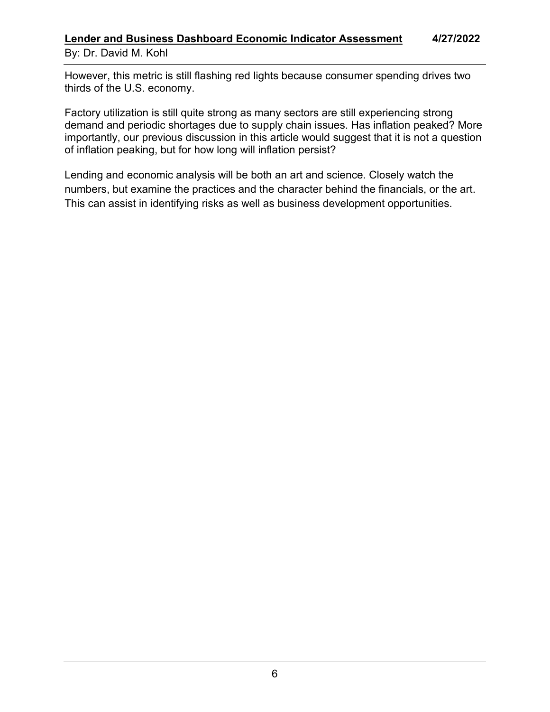## **Lender and Business Dashboard Economic Indicator Assessment 4/27/2022** By: Dr. David M. Kohl

However, this metric is still flashing red lights because consumer spending drives two thirds of the U.S. economy.

Factory utilization is still quite strong as many sectors are still experiencing strong demand and periodic shortages due to supply chain issues. Has inflation peaked? More importantly, our previous discussion in this article would suggest that it is not a question of inflation peaking, but for how long will inflation persist?

Lending and economic analysis will be both an art and science. Closely watch the numbers, but examine the practices and the character behind the financials, or the art. This can assist in identifying risks as well as business development opportunities.